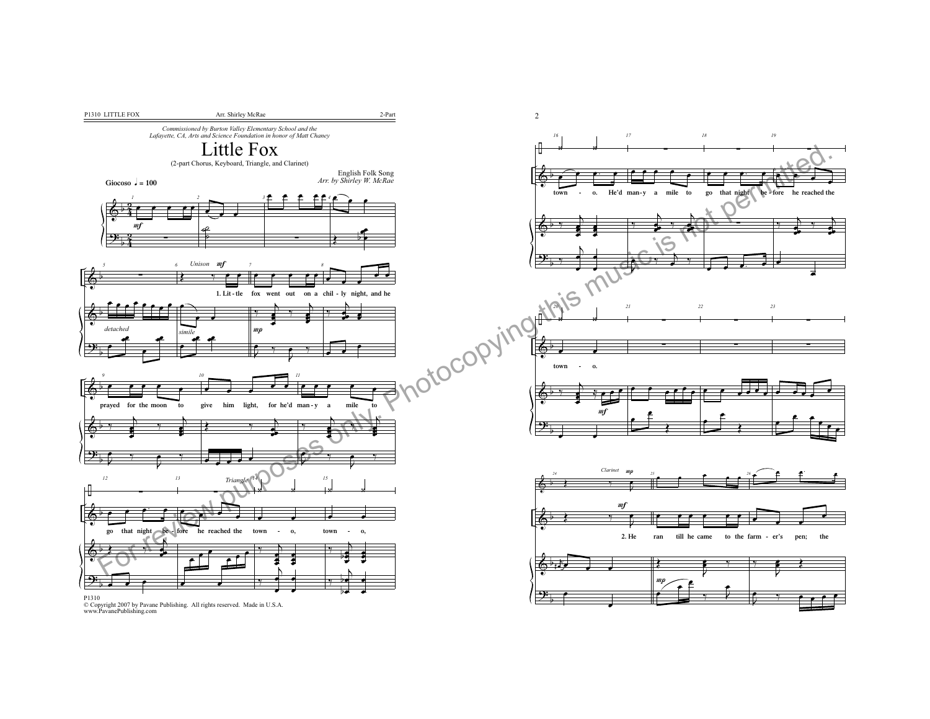

P1310 © Copyright 2007 by Pavane Publishing. All rights reserved. Made in U.S.A. www.PavanePublishing.com



2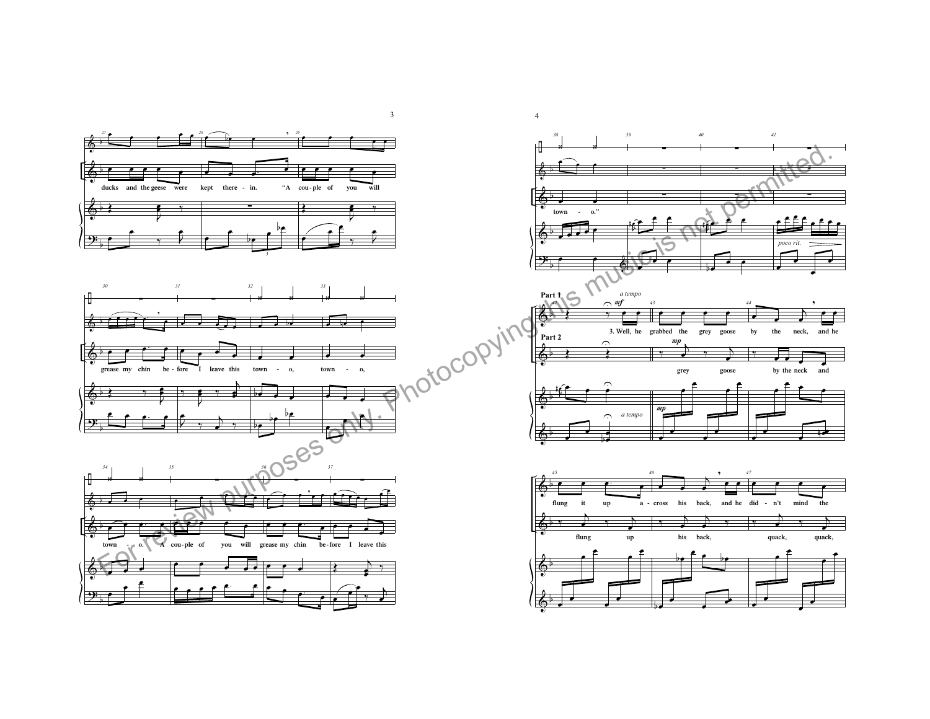

*41*

*poco rit.*o e <u>e f e</u> e 6 ۔ ۔ ⋍∙

> j e , z

e من (

**quack, quack,**

σ o o

j o

e o

**by the neck, and he**

ø ø e c

o o

*44*o ø

> 7 7 . . **by** the neck and o e

c o

*47*ø *. .* .

ř

ē ø

j σ  $\cdot$   $\cdot$ 

e o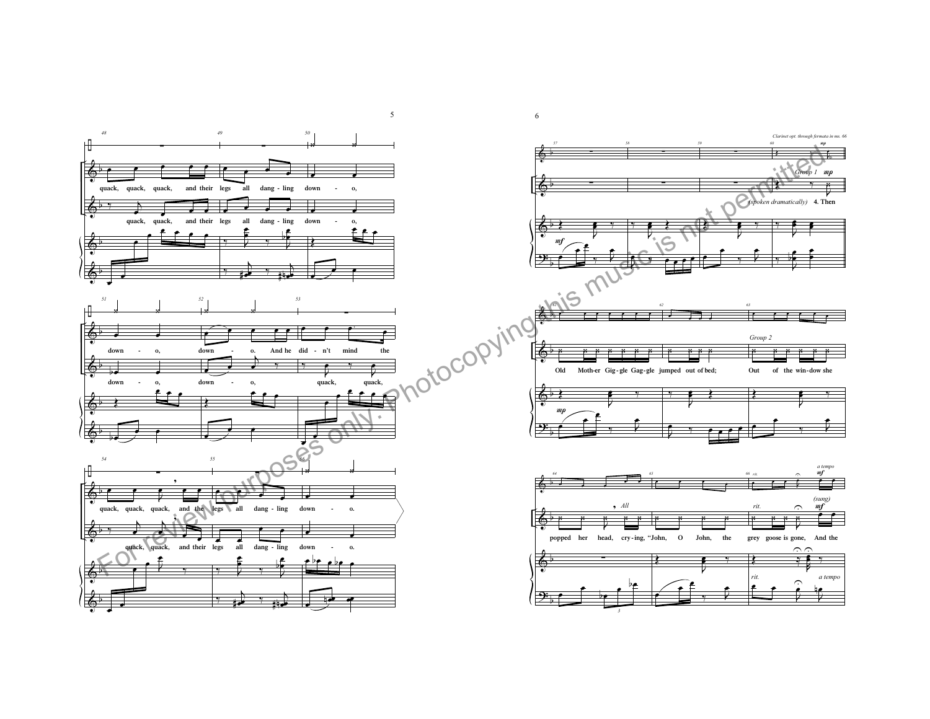

5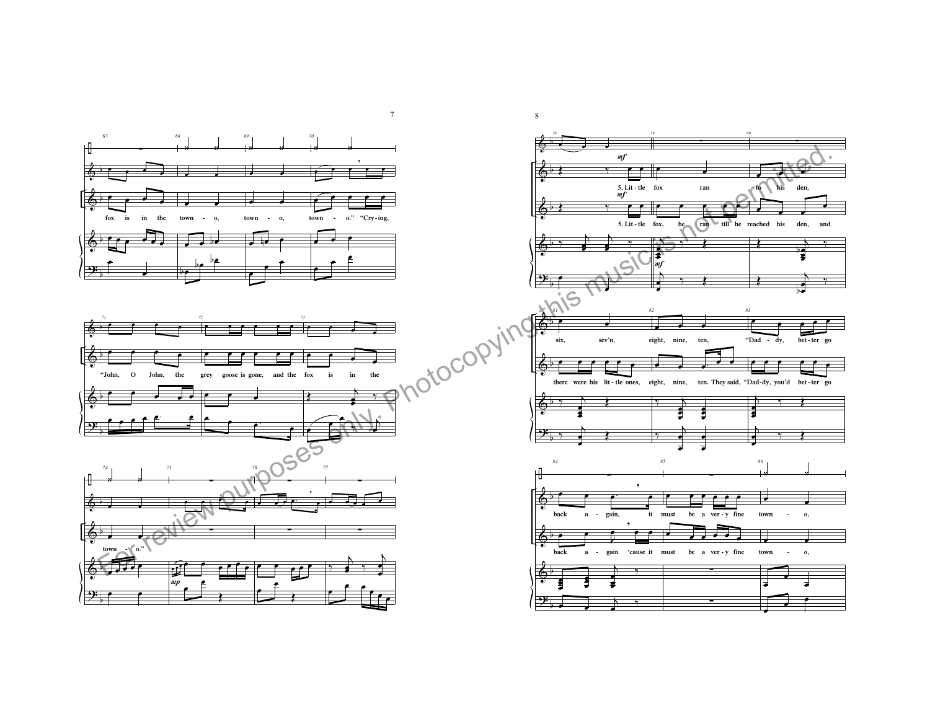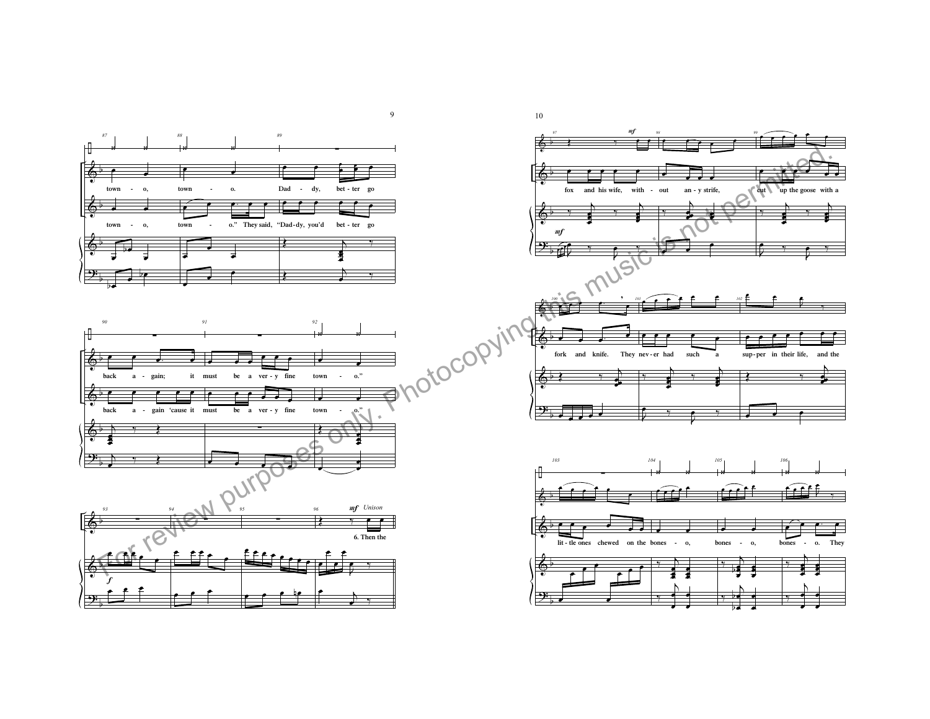